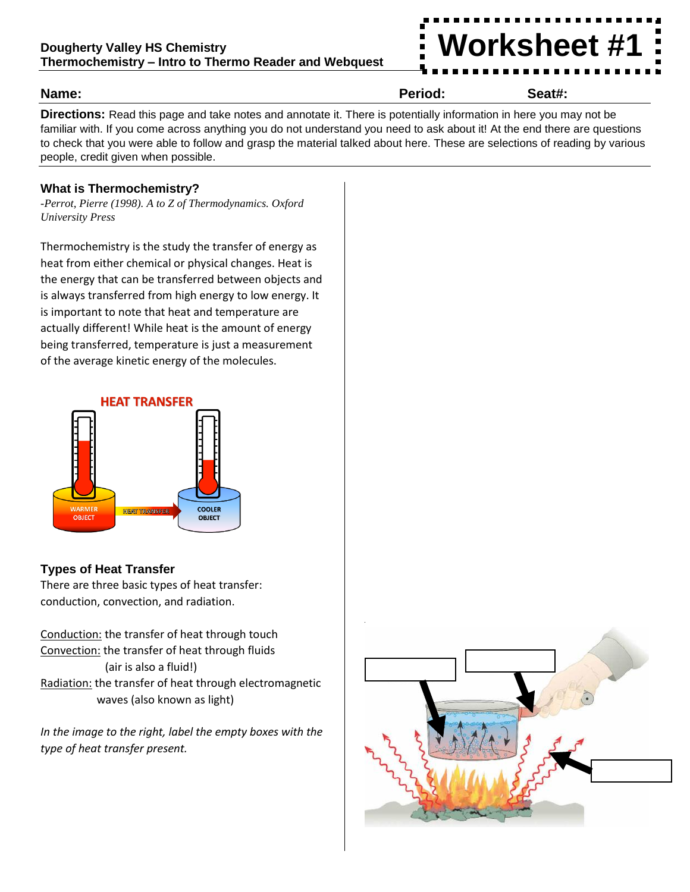

#### **Name: Period: Seat#:**

**Directions:** Read this page and take notes and annotate it. There is potentially information in here you may not be familiar with. If you come across anything you do not understand you need to ask about it! At the end there are questions to check that you were able to follow and grasp the material talked about here. These are selections of reading by various people, credit given when possible.

### **What is Thermochemistry?**

*-Perrot, Pierre (1998). A to Z of Thermodynamics. Oxford University Press*

Thermochemistry is the study the transfer of energy as heat from either chemical or physical changes. Heat is the energy that can be transferred between objects and is always transferred from high energy to low energy. It is important to note that heat and temperature are actually different! While heat is the amount of energy being transferred, temperature is just a measurement of the average kinetic energy of the molecules.



# **Types of Heat Transfer**

There are three basic types of heat transfer: conduction, convection, and radiation.

Conduction: the transfer of heat through touch Convection: the transfer of heat through fluids (air is also a fluid!) Radiation: the transfer of heat through electromagnetic waves (also known as light)

*In the image to the right, label the empty boxes with the type of heat transfer present.*

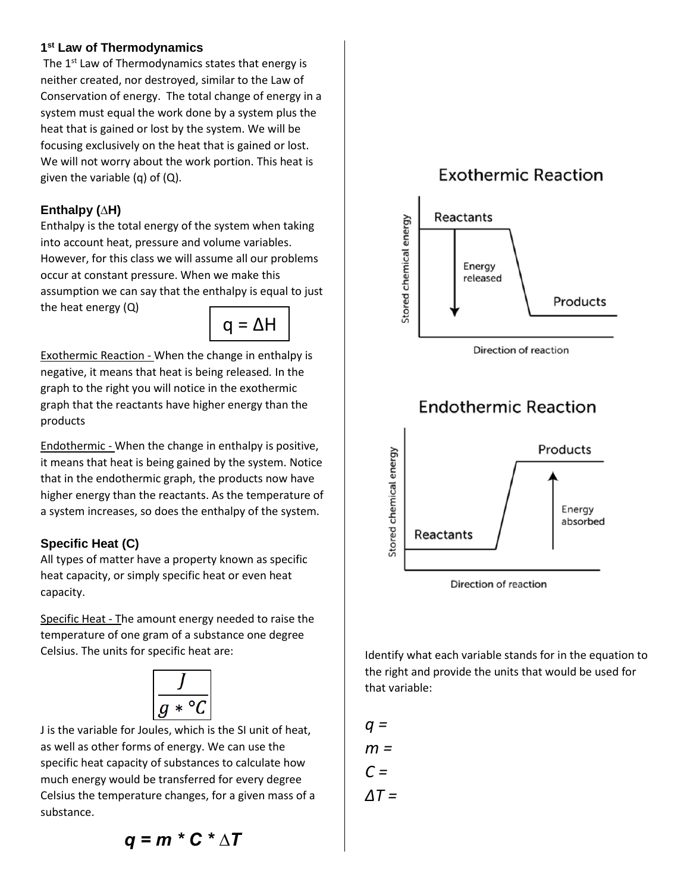### **1 st Law of Thermodynamics**

The 1<sup>st</sup> Law of Thermodynamics states that energy is neither created, nor destroyed, similar to the Law of Conservation of energy. The total change of energy in a system must equal the work done by a system plus the heat that is gained or lost by the system. We will be focusing exclusively on the heat that is gained or lost. We will not worry about the work portion. This heat is given the variable  $(q)$  of  $(Q)$ .

### **Enthalpy (∆H)**

Enthalpy is the total energy of the system when taking into account heat, pressure and volume variables. However, for this class we will assume all our problems occur at constant pressure. When we make this assumption we can say that the enthalpy is equal to just the heat energy (Q)



Exothermic Reaction - When the change in enthalpy is negative, it means that heat is being released*.* In the graph to the right you will notice in the exothermic graph that the reactants have higher energy than the products

Endothermic - When the change in enthalpy is positive, it means that heat is being gained by the system. Notice that in the endothermic graph, the products now have higher energy than the reactants. As the temperature of a system increases, so does the enthalpy of the system.

# **Specific Heat (C)**

All types of matter have a property known as specific heat capacity, or simply specific heat or even heat capacity.

Specific Heat - The amount energy needed to raise the temperature of one gram of a substance one degree Celsius. The units for specific heat are:



J is the variable for Joules, which is the SI unit of heat, as well as other forms of energy. We can use the specific heat capacity of substances to calculate how much energy would be transferred for every degree Celsius the temperature changes, for a given mass of a substance.



Identify what each variable stands for in the equation to the right and provide the units that would be used for that variable:

$$
q = 0
$$
  

$$
m = 0
$$
  

$$
C = 0
$$
  

$$
\Delta T = 0
$$

$$
q = m * C * \Delta T
$$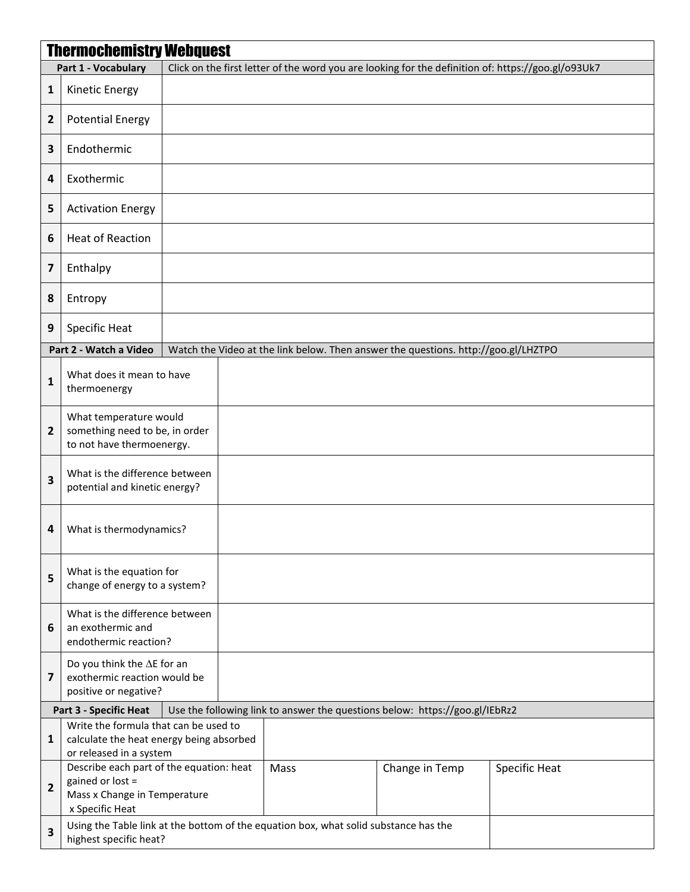| <b>Thermochemistry Webquest</b> |                                                                                                                           |  |  |      |                                                                             |                      |  |  |  |
|---------------------------------|---------------------------------------------------------------------------------------------------------------------------|--|--|------|-----------------------------------------------------------------------------|----------------------|--|--|--|
|                                 | Click on the first letter of the word you are looking for the definition of: https://goo.gl/o93Uk7<br>Part 1 - Vocabulary |  |  |      |                                                                             |                      |  |  |  |
| $\mathbf{1}$                    | <b>Kinetic Energy</b>                                                                                                     |  |  |      |                                                                             |                      |  |  |  |
| 2                               | <b>Potential Energy</b>                                                                                                   |  |  |      |                                                                             |                      |  |  |  |
| 3                               | Endothermic                                                                                                               |  |  |      |                                                                             |                      |  |  |  |
| 4                               | Exothermic                                                                                                                |  |  |      |                                                                             |                      |  |  |  |
| 5                               | <b>Activation Energy</b>                                                                                                  |  |  |      |                                                                             |                      |  |  |  |
| 6                               | <b>Heat of Reaction</b>                                                                                                   |  |  |      |                                                                             |                      |  |  |  |
| $\overline{\mathbf{z}}$         | Enthalpy                                                                                                                  |  |  |      |                                                                             |                      |  |  |  |
| 8                               | Entropy                                                                                                                   |  |  |      |                                                                             |                      |  |  |  |
| 9                               | Specific Heat                                                                                                             |  |  |      |                                                                             |                      |  |  |  |
|                                 | Part 2 - Watch a Video<br>Watch the Video at the link below. Then answer the questions. http://goo.gl/LHZTPO              |  |  |      |                                                                             |                      |  |  |  |
| $\mathbf{1}$                    | What does it mean to have<br>thermoenergy                                                                                 |  |  |      |                                                                             |                      |  |  |  |
| $\overline{2}$                  | What temperature would<br>something need to be, in order<br>to not have thermoenergy.                                     |  |  |      |                                                                             |                      |  |  |  |
| 3                               | What is the difference between<br>potential and kinetic energy?                                                           |  |  |      |                                                                             |                      |  |  |  |
| 4                               | What is thermodynamics?                                                                                                   |  |  |      |                                                                             |                      |  |  |  |
| 5                               | What is the equation for<br>change of energy to a system?                                                                 |  |  |      |                                                                             |                      |  |  |  |
| 6                               | What is the difference between<br>an exothermic and<br>endothermic reaction?                                              |  |  |      |                                                                             |                      |  |  |  |
| $\overline{\mathbf{z}}$         | Do you think the $\Delta E$ for an<br>exothermic reaction would be<br>positive or negative?                               |  |  |      |                                                                             |                      |  |  |  |
|                                 | <b>Part 3 - Specific Heat</b>                                                                                             |  |  |      | Use the following link to answer the questions below: https://goo.gl/IEbRz2 |                      |  |  |  |
| $\mathbf{1}$                    | Write the formula that can be used to<br>calculate the heat energy being absorbed<br>or released in a system              |  |  |      |                                                                             |                      |  |  |  |
| $\overline{2}$                  | Describe each part of the equation: heat<br>gained or lost =<br>Mass x Change in Temperature<br>x Specific Heat           |  |  | Mass | Change in Temp                                                              | <b>Specific Heat</b> |  |  |  |
| $\overline{\mathbf{3}}$         | Using the Table link at the bottom of the equation box, what solid substance has the<br>highest specific heat?            |  |  |      |                                                                             |                      |  |  |  |